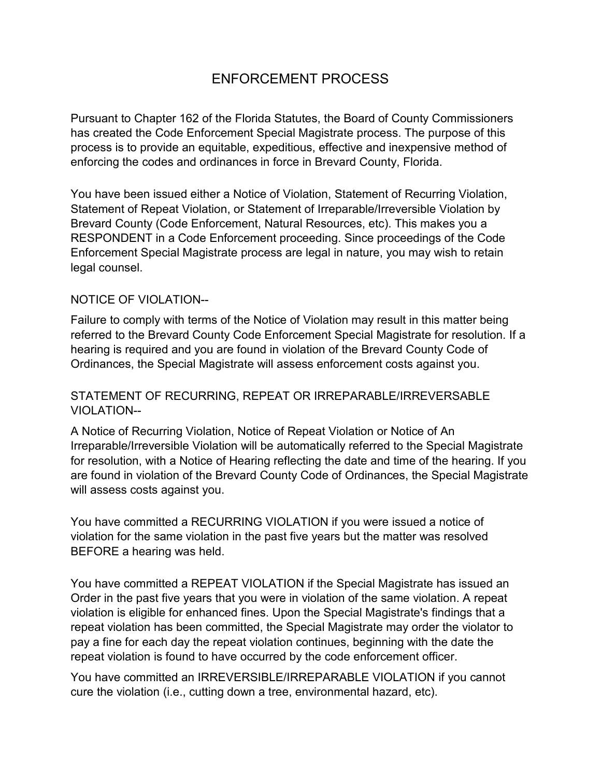# ENFORCEMENT PROCESS

Pursuant to Chapter 162 of the Florida Statutes, the Board of County Commissioners has created the Code Enforcement Special Magistrate process. The purpose of this process is to provide an equitable, expeditious, effective and inexpensive method of enforcing the codes and ordinances in force in Brevard County, Florida.

You have been issued either a Notice of Violation, Statement of Recurring Violation, Statement of Repeat Violation, or Statement of Irreparable/Irreversible Violation by Brevard County (Code Enforcement, Natural Resources, etc). This makes you a RESPONDENT in a Code Enforcement proceeding. Since proceedings of the Code Enforcement Special Magistrate process are legal in nature, you may wish to retain legal counsel.

### NOTICE OF VIOLATION--

Failure to comply with terms of the Notice of Violation may result in this matter being referred to the Brevard County Code Enforcement Special Magistrate for resolution. If a hearing is required and you are found in violation of the Brevard County Code of Ordinances, the Special Magistrate will assess enforcement costs against you.

### STATEMENT OF RECURRING, REPEAT OR IRREPARABLE/IRREVERSABLE VIOLATION--

A Notice of Recurring Violation, Notice of Repeat Violation or Notice of An Irreparable/Irreversible Violation will be automatically referred to the Special Magistrate for resolution, with a Notice of Hearing reflecting the date and time of the hearing. If you are found in violation of the Brevard County Code of Ordinances, the Special Magistrate will assess costs against you.

You have committed a RECURRING VIOLATION if you were issued a notice of violation for the same violation in the past five years but the matter was resolved BEFORE a hearing was held.

You have committed a REPEAT VIOLATION if the Special Magistrate has issued an Order in the past five years that you were in violation of the same violation. A repeat violation is eligible for enhanced fines. Upon the Special Magistrate's findings that a repeat violation has been committed, the Special Magistrate may order the violator to pay a fine for each day the repeat violation continues, beginning with the date the repeat violation is found to have occurred by the code enforcement officer.

You have committed an IRREVERSIBLE/IRREPARABLE VIOLATION if you cannot cure the violation (i.e., cutting down a tree, environmental hazard, etc).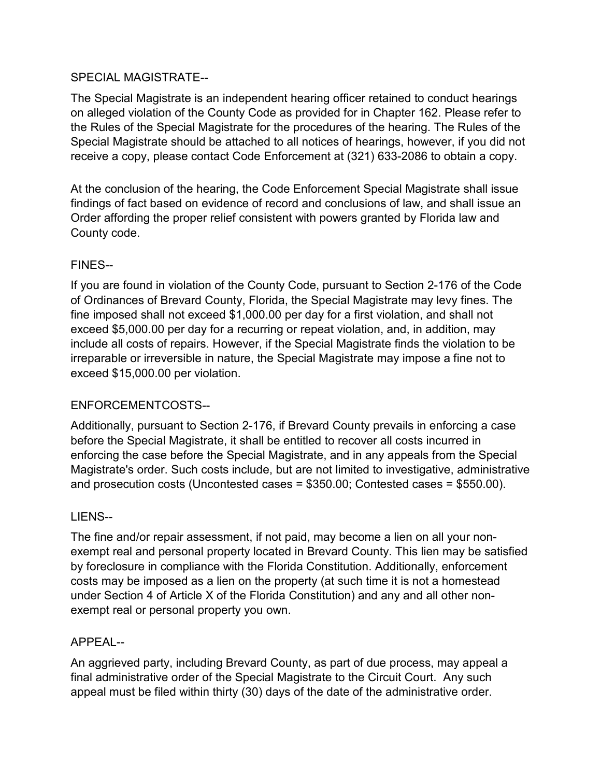# SPECIAL MAGISTRATE--

The Special Magistrate is an independent hearing officer retained to conduct hearings on alleged violation of the County Code as provided for in Chapter 162. Please refer to the Rules of the Special Magistrate for the procedures of the hearing. The Rules of the Special Magistrate should be attached to all notices of hearings, however, if you did not receive a copy, please contact Code Enforcement at (321) 633-2086 to obtain a copy.

At the conclusion of the hearing, the Code Enforcement Special Magistrate shall issue findings of fact based on evidence of record and conclusions of law, and shall issue an Order affording the proper relief consistent with powers granted by Florida law and County code.

# FINES--

If you are found in violation of the County Code, pursuant to Section 2-176 of the Code of Ordinances of Brevard County, Florida, the Special Magistrate may levy fines. The fine imposed shall not exceed \$1,000.00 per day for a first violation, and shall not exceed \$5,000.00 per day for a recurring or repeat violation, and, in addition, may include all costs of repairs. However, if the Special Magistrate finds the violation to be irreparable or irreversible in nature, the Special Magistrate may impose a fine not to exceed \$15,000.00 per violation.

# ENFORCEMENTCOSTS--

Additionally, pursuant to Section 2-176, if Brevard County prevails in enforcing a case before the Special Magistrate, it shall be entitled to recover all costs incurred in enforcing the case before the Special Magistrate, and in any appeals from the Special Magistrate's order. Such costs include, but are not limited to investigative, administrative and prosecution costs (Uncontested cases = \$350.00; Contested cases = \$550.00).

# LIENS--

The fine and/or repair assessment, if not paid, may become a lien on all your nonexempt real and personal property located in Brevard County. This lien may be satisfied by foreclosure in compliance with the Florida Constitution. Additionally, enforcement costs may be imposed as a lien on the property (at such time it is not a homestead under Section 4 of Article X of the Florida Constitution) and any and all other nonexempt real or personal property you own.

# APPEAL--

An aggrieved party, including Brevard County, as part of due process, may appeal a final administrative order of the Special Magistrate to the Circuit Court. Any such appeal must be filed within thirty (30) days of the date of the administrative order.